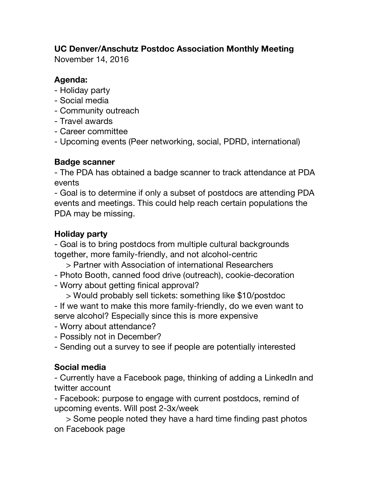# **UC Denver/Anschutz Postdoc Association Monthly Meeting**

November 14, 2016

## **Agenda:**

- Holiday party
- Social media
- Community outreach
- Travel awards
- Career committee
- Upcoming events (Peer networking, social, PDRD, international)

## **Badge scanner**

- The PDA has obtained a badge scanner to track attendance at PDA events

- Goal is to determine if only a subset of postdocs are attending PDA events and meetings. This could help reach certain populations the PDA may be missing.

## **Holiday party**

- Goal is to bring postdocs from multiple cultural backgrounds together, more family-friendly, and not alcohol-centric

- > Partner with Association of international Researchers
- Photo Booth, canned food drive (outreach), cookie-decoration
- Worry about getting finical approval?

> Would probably sell tickets: something like \$10/postdoc - If we want to make this more family-friendly, do we even want to serve alcohol? Especially since this is more expensive

- Worry about attendance?
- Possibly not in December?
- Sending out a survey to see if people are potentially interested

## **Social media**

- Currently have a Facebook page, thinking of adding a LinkedIn and twitter account

- Facebook: purpose to engage with current postdocs, remind of upcoming events. Will post 2-3x/week

> Some people noted they have a hard time finding past photos on Facebook page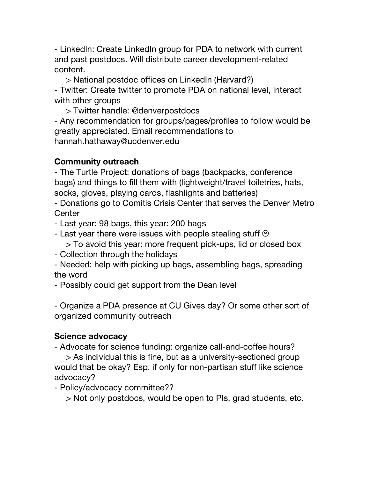- LinkedIn: Create LinkedIn group for PDA to network with current and past postdocs. Will distribute career development-related content.

> National postdoc offices on LinkedIn (Harvard?) - Twitter: Create twitter to promote PDA on national level, interact with other groups

> Twitter handle: @denverpostdocs

- Any recommendation for groups/pages/profiles to follow would be greatly appreciated. Email recommendations to hannah.hathaway@ucdenver.edu

### **Community outreach**

- The Turtle Project: donations of bags (backpacks, conference bags) and things to fill them with (lightweight/travel toiletries, hats, socks, gloves, playing cards, flashlights and batteries)

- Donations go to Comitis Crisis Center that serves the Denver Metro **Center** 

- Last year: 98 bags, this year: 200 bags

- Last year there were issues with people stealing stuff  $\odot$ 
	- > To avoid this year: more frequent pick-ups, lid or closed box
- Collection through the holidays

- Needed: help with picking up bags, assembling bags, spreading the word

- Possibly could get support from the Dean level

- Organize a PDA presence at CU Gives day? Or some other sort of organized community outreach

#### **Science advocacy**

- Advocate for science funding: organize call-and-coffee hours?

> As individual this is fine, but as a university-sectioned group would that be okay? Esp. if only for non-partisan stuff like science advocacy?

- Policy/advocacy committee??

> Not only postdocs, would be open to PIs, grad students, etc.